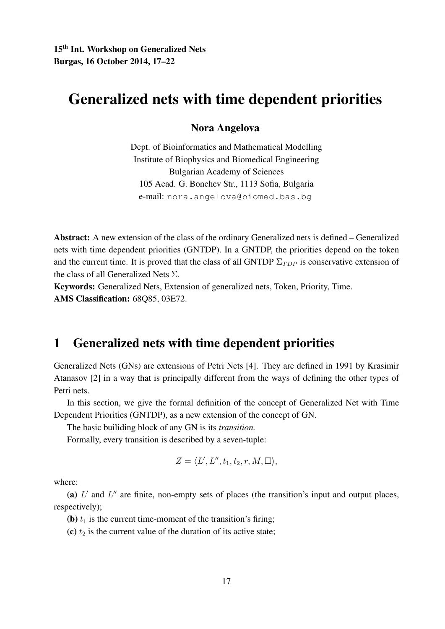## Generalized nets with time dependent priorities

#### Nora Angelova

Dept. of Bioinformatics and Mathematical Modelling Institute of Biophysics and Biomedical Engineering Bulgarian Academy of Sciences 105 Acad. G. Bonchev Str., 1113 Sofia, Bulgaria e-mail: nora.angelova@biomed.bas.bg

Abstract: A new extension of the class of the ordinary Generalized nets is defined – Generalized nets with time dependent priorities (GNTDP). In a GNTDP, the priorities depend on the token and the current time. It is proved that the class of all GNTDP  $\Sigma_{TDP}$  is conservative extension of the class of all Generalized Nets  $\Sigma$ .

Keywords: Generalized Nets, Extension of generalized nets, Token, Priority, Time. AMS Classification: 68Q85, 03E72.

### 1 Generalized nets with time dependent priorities

Generalized Nets (GNs) are extensions of Petri Nets [4]. They are defined in 1991 by Krasimir Atanasov [2] in a way that is principally different from the ways of defining the other types of Petri nets.

In this section, we give the formal definition of the concept of Generalized Net with Time Dependent Priorities (GNTDP), as a new extension of the concept of GN.

The basic builiding block of any GN is its *transition.*

Formally, every transition is described by a seven-tuple:

$$
Z = \langle L', L'', t_1, t_2, r, M, \square \rangle,
$$

where:

(a)  $L'$  and  $L''$  are finite, non-empty sets of places (the transition's input and output places, respectively);

(b)  $t_1$  is the current time-moment of the transition's firing;

(c)  $t_2$  is the current value of the duration of its active state;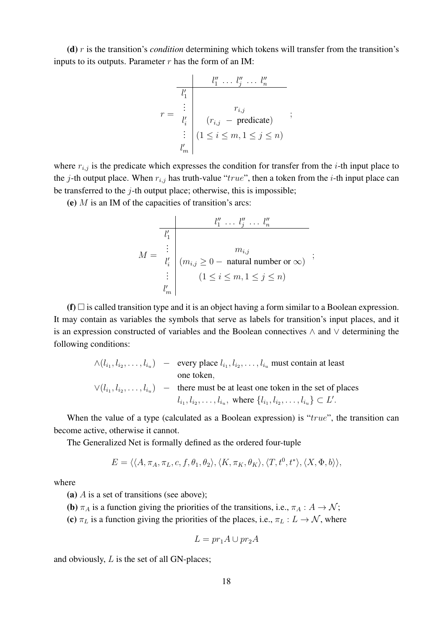(d) r is the transition's *condition* determining which tokens will transfer from the transition's inputs to its outputs. Parameter  $r$  has the form of an IM:

$$
r = \begin{array}{c|c} & l_1'' & \dots & l_j'' & \dots & l_n'' \\ \hline l_1' & & & & \\ \vdots & & & & \\ l_i' & (r_{i,j} & - \text{ predicate}) & \vdots \\ & & \vdots & (1 \leq i \leq m, 1 \leq j \leq n) \\ l_m' & & & \end{array}
$$

where  $r_{i,j}$  is the predicate which expresses the condition for transfer from the *i*-th input place to the j-th output place. When  $r_{i,j}$  has truth-value "true", then a token from the *i*-th input place can be transferred to the  $j$ -th output place; otherwise, this is impossible;

(e)  $M$  is an IM of the capacities of transition's arcs:

$$
M = \begin{array}{c} l_1'' \dots l_j'' \dots l_n'' \\ \vdots \\ l_i' \\ \vdots \\ l_m' \end{array} \quad (m_{i,j} \ge 0 - \text{natural number or } \infty) \quad ;
$$
  

$$
\vdots \\ l_m' \quad (1 \le i \le m, 1 \le j \le n)
$$

(f)  $\Box$  is called transition type and it is an object having a form similar to a Boolean expression. It may contain as variables the symbols that serve as labels for transition's input places, and it is an expression constructed of variables and the Boolean connectives ∧ and ∨ determining the following conditions:

$$
\wedge (l_{i_1}, l_{i_2}, \dots, l_{i_u})
$$
 – every place  $l_{i_1}, l_{i_2}, \dots, l_{i_u}$  must contain at least  
one token,  

$$
\vee (l_{i_1}, l_{i_2}, \dots, l_{i_u})
$$
 – there must be at least one token in the set of places  

$$
l_{i_1}, l_{i_2}, \dots, l_{i_u}
$$
, where  $\{l_{i_1}, l_{i_2}, \dots, l_{i_u}\} \subset L'$ .

When the value of a type (calculated as a Boolean expression) is " $true$ ", the transition can become active, otherwise it cannot.

The Generalized Net is formally defined as the ordered four-tuple

$$
E = \langle \langle A, \pi_A, \pi_L, c, f, \theta_1, \theta_2 \rangle, \langle K, \pi_K, \theta_K \rangle, \langle T, t^0, t^* \rangle, \langle X, \Phi, b \rangle \rangle,
$$

where

(a)  $\overline{A}$  is a set of transitions (see above);

(b)  $\pi_A$  is a function giving the priorities of the transitions, i.e.,  $\pi_A : A \to \mathcal{N}$ ;

(c)  $\pi_L$  is a function giving the priorities of the places, i.e.,  $\pi_L : L \to \mathcal{N}$ , where

$$
L = pr_1 A \cup pr_2 A
$$

and obviously, L is the set of all GN-places;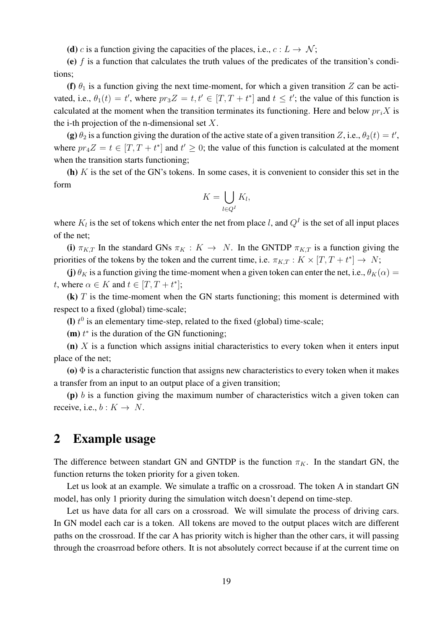(d) c is a function giving the capacities of the places, i.e.,  $c: L \to \mathcal{N}$ ;

(e)  $f$  is a function that calculates the truth values of the predicates of the transition's conditions;

(f)  $\theta_1$  is a function giving the next time-moment, for which a given transition Z can be activated, i.e.,  $\theta_1(t) = t'$ , where  $pr_3 Z = t, t' \in [T, T + t^*]$  and  $t \le t'$ ; the value of this function is calculated at the moment when the transition terminates its functioning. Here and below  $pr_i X$  is the i-th projection of the n-dimensional set  $X$ .

(g)  $\theta_2$  is a function giving the duration of the active state of a given transition Z, i.e.,  $\theta_2(t) = t'$ , where  $pr_4Z = t \in [T, T + t^*]$  and  $t' \ge 0$ ; the value of this function is calculated at the moment when the transition starts functioning;

(h)  $K$  is the set of the GN's tokens. In some cases, it is convenient to consider this set in the form

$$
K = \bigcup_{l \in Q^I} K_l,
$$

where  $K_l$  is the set of tokens which enter the net from place l, and  $Q^I$  is the set of all input places of the net;

(i)  $\pi_{K,T}$  In the standard GNs  $\pi_K : K \to N$ . In the GNTDP  $\pi_{K,T}$  is a function giving the priorities of the tokens by the token and the current time, i.e.  $\pi_{K,T}: K \times [T, T + t^*] \to N;$ 

(j)  $\theta_K$  is a function giving the time-moment when a given token can enter the net, i.e.,  $\theta_K(\alpha) =$ t, where  $\alpha \in K$  and  $t \in [T, T + t^*];$ 

 $(k)$  T is the time-moment when the GN starts functioning; this moment is determined with respect to a fixed (global) time-scale;

(I)  $t^0$  is an elementary time-step, related to the fixed (global) time-scale;

(m)  $t^*$  is the duration of the GN functioning;

 $(n)$  X is a function which assigns initial characteristics to every token when it enters input place of the net;

(o)  $\Phi$  is a characteristic function that assigns new characteristics to every token when it makes a transfer from an input to an output place of a given transition;

(p)  $b$  is a function giving the maximum number of characteristics witch a given token can receive, i.e.,  $b: K \to N$ .

#### 2 Example usage

The difference between standart GN and GNTDP is the function  $\pi_K$ . In the standart GN, the function returns the token priority for a given token.

Let us look at an example. We simulate a traffic on a crossroad. The token A in standart GN model, has only 1 priority during the simulation witch doesn't depend on time-step.

Let us have data for all cars on a crossroad. We will simulate the process of driving cars. In GN model each car is a token. All tokens are moved to the output places witch are different paths on the crossroad. If the car A has priority witch is higher than the other cars, it will passing through the croasrroad before others. It is not absolutely correct because if at the current time on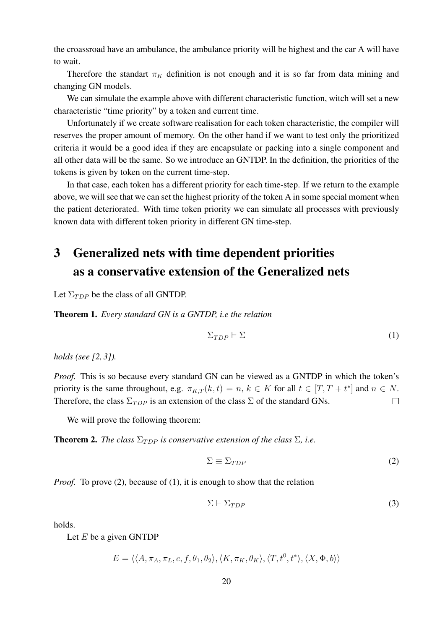the croassroad have an ambulance, the ambulance priority will be highest and the car A will have to wait.

Therefore the standart  $\pi_K$  definition is not enough and it is so far from data mining and changing GN models.

We can simulate the example above with different characteristic function, witch will set a new characteristic "time priority" by a token and current time.

Unfortunately if we create software realisation for each token characteristic, the compiler will reserves the proper amount of memory. On the other hand if we want to test only the prioritized criteria it would be a good idea if they are encapsulate or packing into a single component and all other data will be the same. So we introduce an GNTDP. In the definition, the priorities of the tokens is given by token on the current time-step.

In that case, each token has a different priority for each time-step. If we return to the example above, we will see that we can set the highest priority of the token A in some special moment when the patient deteriorated. With time token priority we can simulate all processes with previously known data with different token priority in different GN time-step.

# 3 Generalized nets with time dependent priorities as a conservative extension of the Generalized nets

Let  $\Sigma_{TDP}$  be the class of all GNTDP.

Theorem 1. *Every standard GN is a GNTDP, i.e the relation*

$$
\Sigma_{TDP} \vdash \Sigma \tag{1}
$$

*holds (see [2, 3]).*

*Proof.* This is so because every standard GN can be viewed as a GNTDP in which the token's priority is the same throughout, e.g.  $\pi_{K,T}(k,t) = n, k \in K$  for all  $t \in [T, T + t^*]$  and  $n \in N$ . Therefore, the class  $\Sigma_{TDP}$  is an extension of the class  $\Sigma$  of the standard GNs.  $\Box$ 

We will prove the following theorem:

**Theorem 2.** *The class*  $\Sigma_{TDP}$  *is conservative extension of the class*  $\Sigma$ *, i.e.* 

$$
\Sigma \equiv \Sigma_{TDP} \tag{2}
$$

*Proof.* To prove (2), because of (1), it is enough to show that the relation

$$
\Sigma \vdash \Sigma_{TDP} \tag{3}
$$

holds.

Let  $E$  be a given GNTDP

$$
E = \langle \langle A, \pi_A, \pi_L, c, f, \theta_1, \theta_2 \rangle, \langle K, \pi_K, \theta_K \rangle, \langle T, t^0, t^* \rangle, \langle X, \Phi, b \rangle \rangle
$$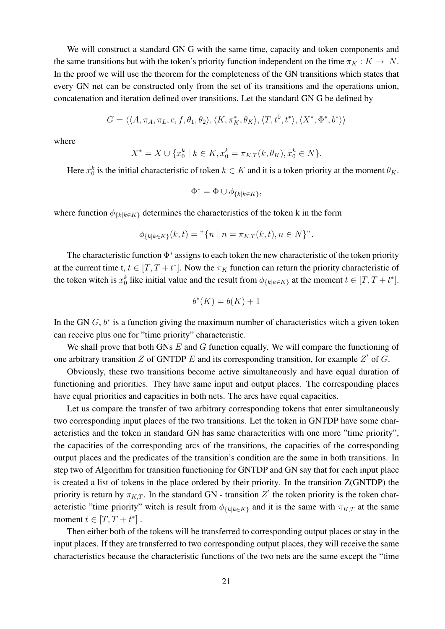We will construct a standard GN G with the same time, capacity and token components and the same transitions but with the token's priority function independent on the time  $\pi_K : K \to N$ . In the proof we will use the theorem for the completeness of the GN transitions which states that every GN net can be constructed only from the set of its transitions and the operations union, concatenation and iteration defined over transitions. Let the standard GN G be defined by

$$
G=\langle\langle A,\pi_A,\pi_L,c,f,\theta_1,\theta_2\rangle,\langle K,\pi_K^*,\theta_K\rangle,\langle T,t^0,t^*\rangle,\langle X^*,\Phi^*,b^*\rangle\rangle
$$

where

$$
X^* = X \cup \{x_0^k \mid k \in K, x_0^k = \pi_{K,T}(k, \theta_K), x_0^k \in N\}.
$$

Here  $x_0^k$  is the initial characteristic of token  $k \in K$  and it is a token priority at the moment  $\theta_K$ .

$$
\Phi^* = \Phi \cup \phi_{\{k|k \in K\}},
$$

where function  $\phi_{\{k|k\in K\}}$  determines the characteristics of the token k in the form

$$
\phi_{\{k|k\in K\}}(k,t) = "{n | n = \pi_{K,T}(k,t), n \in N}".
$$

The characteristic function  $\Phi^*$  assigns to each token the new characteristic of the token priority at the current time t,  $t \in [T, T + t^*]$ . Now the  $\pi_K$  function can return the priority characteristic of the token witch is  $x_0^k$  like initial value and the result from  $\phi_{\{k|k\in K\}}$  at the moment  $t \in [T, T+t^*]$ .

$$
b^*(K) = b(K) + 1
$$

In the GN  $G$ ,  $b^*$  is a function giving the maximum number of characteristics witch a given token can receive plus one for "time priority" characteristic.

We shall prove that both GNs  $E$  and  $G$  function equally. We will compare the functioning of one arbitrary transition Z of GNTDP E and its corresponding transition, for example Z' of G.

Obviously, these two transitions become active simultaneously and have equal duration of functioning and priorities. They have same input and output places. The corresponding places have equal priorities and capacities in both nets. The arcs have equal capacities.

Let us compare the transfer of two arbitrary corresponding tokens that enter simultaneously two corresponding input places of the two transitions. Let the token in GNTDP have some characteristics and the token in standard GN has same characteritics with one more "time priority", the capacities of the corresponding arcs of the transitions, the capacities of the corresponding output places and the predicates of the transition's condition are the same in both transitions. In step two of Algorithm for transition functioning for GNTDP and GN say that for each input place is created a list of tokens in the place ordered by their priority. In the transition Z(GNTDP) the priority is return by  $\pi_{K,T}$ . In the standard GN - transition  $Z'$  the token priority is the token characteristic "time priority" witch is result from  $\phi_{k|k\in K}$  and it is the same with  $\pi_{K,T}$  at the same moment  $t \in [T, T + t^*]$ .

Then either both of the tokens will be transferred to corresponding output places or stay in the input places. If they are transferred to two corresponding output places, they will receive the same characteristics because the characteristic functions of the two nets are the same except the "time